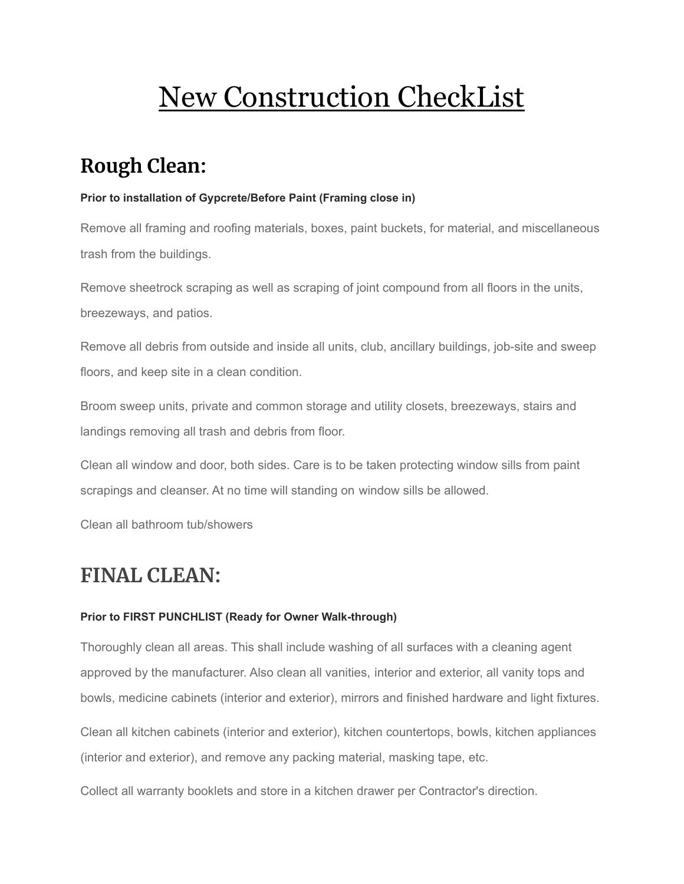# New Construction CheckList

## **Rough Clean:**

#### **Prior to installation of Gypcrete/Before Paint (Framing close in)**

Remove all framing and roofing materials, boxes, paint buckets, for material, and miscellaneous trash from the buildings.

Remove sheetrock scraping as well as scraping of joint compound from all floors in the units, breezeways, and patios.

Remove all debris from outside and inside all units, club, ancillary buildings, job-site and sweep floors, and keep site in a clean condition.

Broom sweep units, private and common storage and utility closets, breezeways, stairs and landings removing all trash and debris from floor.

Clean all window and door, both sides. Care is to be taken protecting window sills from paint scrapings and cleanser. At no time will standing on window sills be allowed.

Clean all bathroom tub/showers

### **FINAL CLEAN:**

### **Prior to FIRST PUNCHLIST (Ready for Owner Walk-through)**

Thoroughly clean all areas. This shall include washing of all surfaces with a cleaning agent approved by the manufacturer. Also clean all vanities, interior and exterior, all vanity tops and bowls, medicine cabinets (interior and exterior), mirrors and finished hardware and light fixtures.

Clean all kitchen cabinets (interior and exterior), kitchen countertops, bowls, kitchen appliances (interior and exterior), and remove any packing material, masking tape, etc.

Collect all warranty booklets and store in a kitchen drawer per Contractor's direction.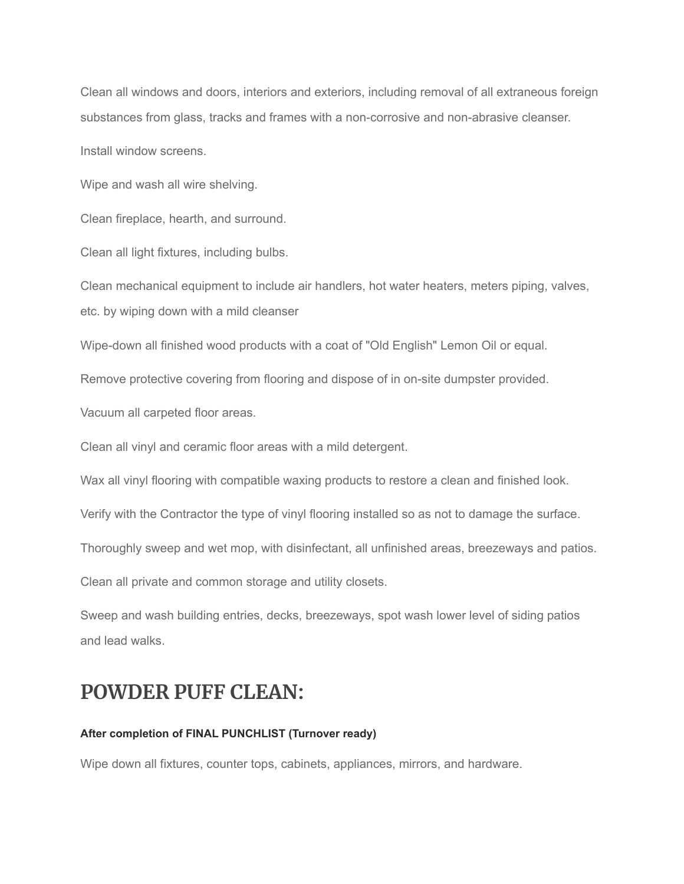Clean all windows and doors, interiors and exteriors, including removal of all extraneous foreign substances from glass, tracks and frames with a non-corrosive and non-abrasive cleanser.

Install window screens.

Wipe and wash all wire shelving.

Clean fireplace, hearth, and surround.

Clean all light fixtures, including bulbs.

Clean mechanical equipment to include air handlers, hot water heaters, meters piping, valves, etc. by wiping down with a mild cleanser

Wipe-down all finished wood products with a coat of "Old English" Lemon Oil or equal.

Remove protective covering from flooring and dispose of in on-site dumpster provided.

Vacuum all carpeted floor areas.

Clean all vinyl and ceramic floor areas with a mild detergent.

Wax all vinyl flooring with compatible waxing products to restore a clean and finished look.

Verify with the Contractor the type of vinyl flooring installed so as not to damage the surface.

Thoroughly sweep and wet mop, with disinfectant, all unfinished areas, breezeways and patios.

Clean all private and common storage and utility closets.

Sweep and wash building entries, decks, breezeways, spot wash lower level of siding patios and lead walks.

### **POWDER PUFF CLEAN:**

#### **After completion of FINAL PUNCHLIST (Turnover ready)**

Wipe down all fixtures, counter tops, cabinets, appliances, mirrors, and hardware.